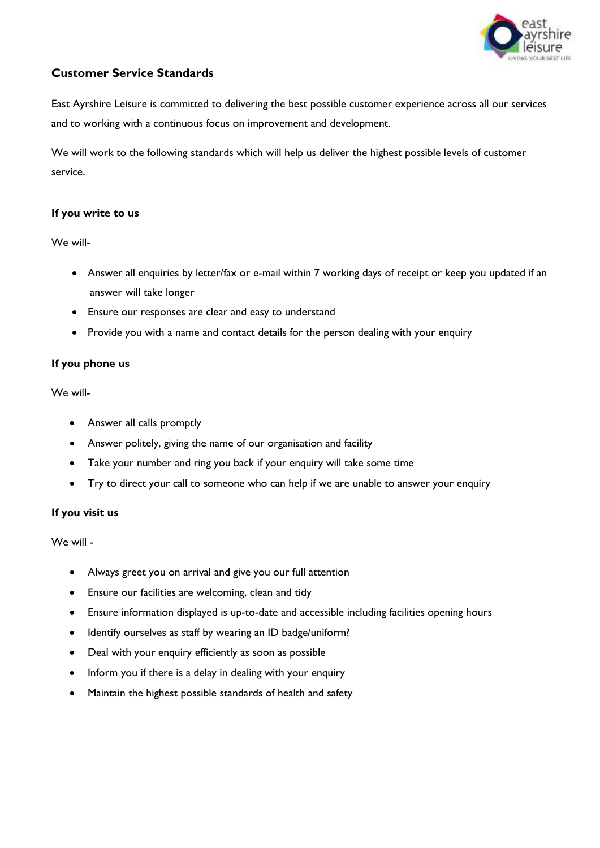

# **Customer Service Standards**

East Ayrshire Leisure is committed to delivering the best possible customer experience across all our services and to working with a continuous focus on improvement and development.

We will work to the following standards which will help us deliver the highest possible levels of customer service.

#### **If you write to us**

We will-

- Answer all enquiries by letter/fax or e-mail within 7 working days of receipt or keep you updated if an answer will take longer
- Ensure our responses are clear and easy to understand
- Provide you with a name and contact details for the person dealing with your enquiry

### **If you phone us**

We will-

- Answer all calls promptly
- Answer politely, giving the name of our organisation and facility
- Take your number and ring you back if your enquiry will take some time
- Try to direct your call to someone who can help if we are unable to answer your enquiry

## **If you visit us**

We will -

- Always greet you on arrival and give you our full attention
- Ensure our facilities are welcoming, clean and tidy
- Ensure information displayed is up-to-date and accessible including facilities opening hours
- Identify ourselves as staff by wearing an ID badge/uniform?
- Deal with your enquiry efficiently as soon as possible
- Inform you if there is a delay in dealing with your enquiry
- Maintain the highest possible standards of health and safety